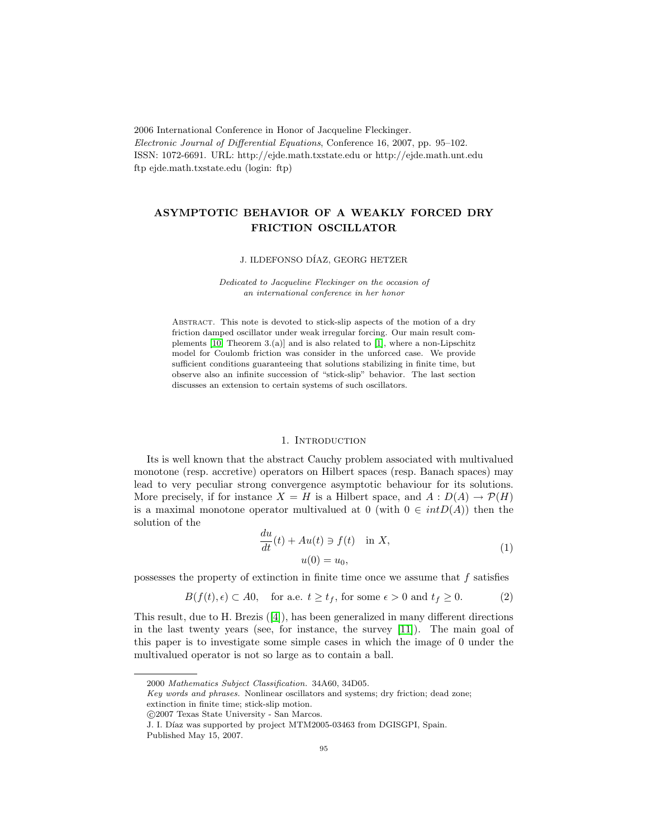2006 International Conference in Honor of Jacqueline Fleckinger. Electronic Journal of Differential Equations, Conference 16, 2007, pp. 95–102. ISSN: 1072-6691. URL: http://ejde.math.txstate.edu or http://ejde.math.unt.edu ftp ejde.math.txstate.edu (login: ftp)

# ASYMPTOTIC BEHAVIOR OF A WEAKLY FORCED DRY FRICTION OSCILLATOR

#### J. ILDEFONSO DÍAZ, GEORG HETZER

Dedicated to Jacqueline Fleckinger on the occasion of an international conference in her honor

ABSTRACT. This note is devoted to stick-slip aspects of the motion of a dry friction damped oscillator under weak irregular forcing. Our main result complements [\[10,](#page-7-0) Theorem 3.(a)] and is also related to [\[1\]](#page-7-1), where a non-Lipschitz model for Coulomb friction was consider in the unforced case. We provide sufficient conditions guaranteeing that solutions stabilizing in finite time, but observe also an infinite succession of "stick-slip" behavior. The last section discusses an extension to certain systems of such oscillators.

#### 1. Introduction

Its is well known that the abstract Cauchy problem associated with multivalued monotone (resp. accretive) operators on Hilbert spaces (resp. Banach spaces) may lead to very peculiar strong convergence asymptotic behaviour for its solutions. More precisely, if for instance  $X = H$  is a Hilbert space, and  $A : D(A) \to \mathcal{P}(H)$ is a maximal monotone operator multivalued at 0 (with  $0 \in intD(A)$ ) then the solution of the

$$
\frac{du}{dt}(t) + Au(t) \ni f(t) \quad \text{in } X,
$$
  

$$
u(0) = u_0,
$$
 (1)

possesses the property of extinction in finite time once we assume that f satisfies

$$
B(f(t), \epsilon) \subset A0, \quad \text{for a.e. } t \ge t_f, \text{ for some } \epsilon > 0 \text{ and } t_f \ge 0. \tag{2}
$$

This result, due to H. Brezis ([\[4\]](#page-7-2)), has been generalized in many different directions in the last twenty years (see, for instance, the survey [\[11\]](#page-7-3)). The main goal of this paper is to investigate some simple cases in which the image of 0 under the multivalued operator is not so large as to contain a ball.

<sup>2000</sup> Mathematics Subject Classification. 34A60, 34D05.

Key words and phrases. Nonlinear oscillators and systems; dry friction; dead zone; extinction in finite time; stick-slip motion.

c 2007 Texas State University - San Marcos.

J. I. Díaz was supported by project MTM2005-03463 from DGISGPI, Spain. Published May 15, 2007.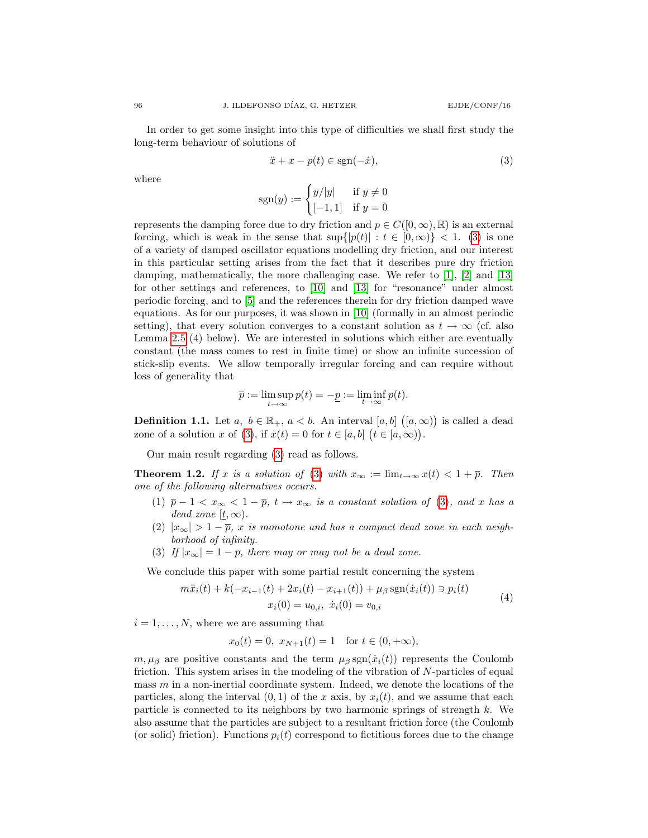In order to get some insight into this type of difficulties we shall first study the long-term behaviour of solutions of

<span id="page-1-0"></span>
$$
\ddot{x} + x - p(t) \in \text{sgn}(-\dot{x}),\tag{3}
$$

where

$$
sgn(y) := \begin{cases} y/|y| & \text{if } y \neq 0 \\ [-1,1] & \text{if } y = 0 \end{cases}
$$

represents the damping force due to dry friction and  $p \in C([0,\infty), \mathbb{R})$  is an external forcing, which is weak in the sense that  $\sup\{|p(t)| : t \in [0,\infty)\} < 1$ . [\(3\)](#page-1-0) is one of a variety of damped oscillator equations modelling dry friction, and our interest in this particular setting arises from the fact that it describes pure dry friction damping, mathematically, the more challenging case. We refer to [\[1\]](#page-7-1), [\[2\]](#page-7-4) and [\[13\]](#page-7-5) for other settings and references, to [\[10\]](#page-7-0) and [\[13\]](#page-7-5) for "resonance" under almost periodic forcing, and to [\[5\]](#page-7-6) and the references therein for dry friction damped wave equations. As for our purposes, it was shown in [\[10\]](#page-7-0) (formally in an almost periodic setting), that every solution converges to a constant solution as  $t \to \infty$  (cf. also Lemma [2.5](#page-3-0) (4) below). We are interested in solutions which either are eventually constant (the mass comes to rest in finite time) or show an infinite succession of stick-slip events. We allow temporally irregular forcing and can require without loss of generality that

$$
\overline{p}:=\limsup_{t\to\infty}p(t)=-\underline{p}:=\liminf_{t\to\infty}p(t).
$$

**Definition 1.1.** Let  $a, b \in \mathbb{R}_+$ ,  $a < b$ . An interval  $[a, b]$   $([a, \infty))$  is called a dead zone of a solution x of [\(3\)](#page-1-0), if  $\dot{x}(t) = 0$  for  $t \in [a, b]$   $(t \in [a, \infty))$ .

Our main result regarding [\(3\)](#page-1-0) read as follows.

<span id="page-1-1"></span>**Theorem 1.2.** If x is a solution of [\(3\)](#page-1-0) with  $x_{\infty} := \lim_{t \to \infty} x(t) < 1 + \overline{p}$ . Then one of the following alternatives occurs.

- (1)  $\bar{p} 1 < x_{\infty} < 1 \bar{p}$ ,  $t \mapsto x_{\infty}$  is a constant solution of [\(3\)](#page-1-0), and x has a dead zone  $[t, \infty)$ .
- (2)  $|x_{\infty}| > 1 \overline{p}$ , x is monotone and has a compact dead zone in each neighborhood of infinity.
- (3) If  $|x_{\infty}| = 1 \overline{p}$ , there may or may not be a dead zone.

We conclude this paper with some partial result concerning the system

$$
m\ddot{x}_i(t) + k(-x_{i-1}(t) + 2x_i(t) - x_{i+1}(t)) + \mu_\beta \operatorname{sgn}(\dot{x}_i(t)) \ni p_i(t)
$$
  

$$
x_i(0) = u_{0,i}, \ \dot{x}_i(0) = v_{0,i}
$$
 (4)

 $i = 1, \ldots, N$ , where we are assuming that

<span id="page-1-2"></span>
$$
x_0(t) = 0
$$
,  $x_{N+1}(t) = 1$  for  $t \in (0, +\infty)$ ,

 $m, \mu_{\beta}$  are positive constants and the term  $\mu_{\beta}$  sgn $(\dot{x}_i(t))$  represents the Coulomb friction. This system arises in the modeling of the vibration of N-particles of equal mass  $m$  in a non-inertial coordinate system. Indeed, we denote the locations of the particles, along the interval  $(0, 1)$  of the x axis, by  $x_i(t)$ , and we assume that each particle is connected to its neighbors by two harmonic springs of strength k. We also assume that the particles are subject to a resultant friction force (the Coulomb (or solid) friction). Functions  $p_i(t)$  correspond to fictitious forces due to the change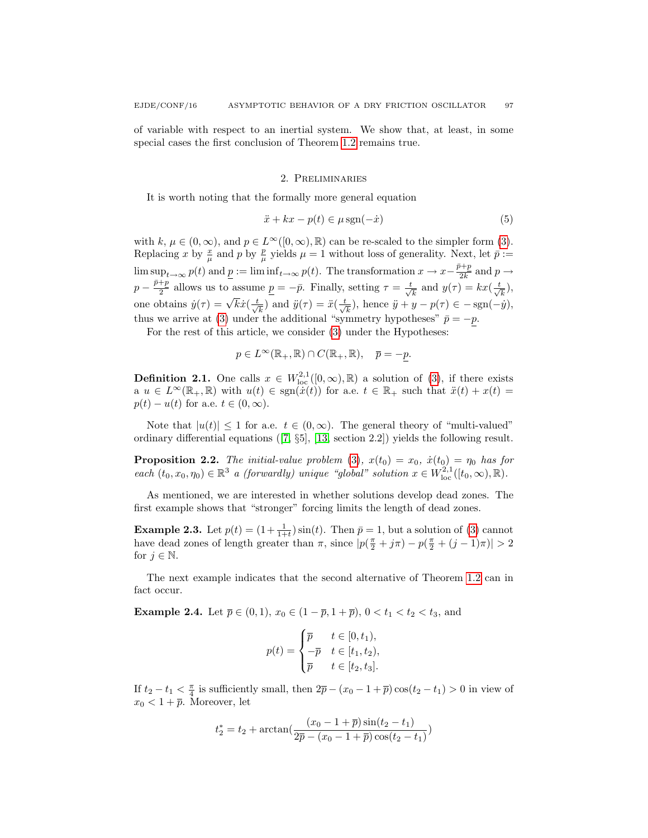of variable with respect to an inertial system. We show that, at least, in some special cases the first conclusion of Theorem [1.2](#page-1-1) remains true.

#### 2. Preliminaries

It is worth noting that the formally more general equation

$$
\ddot{x} + kx - p(t) \in \mu \operatorname{sgn}(-\dot{x})\tag{5}
$$

with k,  $\mu \in (0,\infty)$ , and  $p \in L^{\infty}([0,\infty),\mathbb{R})$  can be re-scaled to the simpler form [\(3\)](#page-1-0). Replacing x by  $\frac{x}{\mu}$  and p by  $\frac{p}{\mu}$  yields  $\mu = 1$  without loss of generality. Next, let  $\bar{p} :=$  $\limsup_{t\to\infty}p(t)$  and  $p:=\liminf_{t\to\infty}p(t)$ . The transformation  $x\to x-\frac{\bar{p}+p}{2k}$  $\frac{\gamma+p}{2k}$  and  $p \to$  $p-\frac{\bar{p}+p}{2}$  $\frac{p}{2}$  allows us to assume  $\underline{p} = -\overline{p}$ . Finally, setting  $\tau = \frac{t}{\sqrt{k}}$  and  $y(\tau) = kx(\frac{t}{\sqrt{k}})$ , one obtains  $\dot{y}(\tau) = \sqrt{k}\dot{x}(\frac{t}{\sqrt{k}})$  and  $\ddot{y}(\tau) = \ddot{x}(\frac{t}{\sqrt{k}})$ , hence  $\ddot{y} + y - p(\tau) \in -\text{sgn}(-\dot{y}),$ thus we arrive at [\(3\)](#page-1-0) under the additional "symmetry hypotheses"  $\bar{p} = -p$ .

For the rest of this article, we consider [\(3\)](#page-1-0) under the Hypotheses:

$$
p \in L^{\infty}(\mathbb{R}_+, \mathbb{R}) \cap C(\mathbb{R}_+, \mathbb{R}), \quad \overline{p} = -p.
$$

**Definition 2.1.** One calls  $x \in W^{2,1}_{loc}([0,\infty),\mathbb{R})$  a solution of [\(3\)](#page-1-0), if there exists a  $u \in L^{\infty}(\mathbb{R}_{+}, \mathbb{R})$  with  $u(t) \in \text{sgn}(\dot{x}(t))$  for a.e.  $t \in \mathbb{R}_{+}$  such that  $\ddot{x}(t) + x(t) =$  $p(t) - u(t)$  for a.e.  $t \in (0, \infty)$ .

Note that  $|u(t)| \leq 1$  for a.e.  $t \in (0,\infty)$ . The general theory of "multi-valued" ordinary differential equations ([\[7,](#page-7-7) §5], [\[13,](#page-7-5) section 2.2]) yields the following result.

**Proposition 2.2.** The initial-value problem [\(3\)](#page-1-0),  $x(t_0) = x_0$ ,  $\dot{x}(t_0) = \eta_0$  has for each  $(t_0, x_0, \eta_0) \in \mathbb{R}^3$  a (forwardly) unique "global" solution  $x \in W^{2,1}_{loc}([t_0,\infty),\mathbb{R})$ .

As mentioned, we are interested in whether solutions develop dead zones. The first example shows that "stronger" forcing limits the length of dead zones.

**Example 2.3.** Let  $p(t) = (1 + \frac{1}{1+t})\sin(t)$ . Then  $\bar{p} = 1$ , but a solution of [\(3\)](#page-1-0) cannot have dead zones of length greater than  $\pi$ , since  $|p(\frac{\pi}{2} + j\pi) - p(\frac{\pi}{2} + (j-1)\pi)| > 2$ for  $j \in \mathbb{N}$ .

The next example indicates that the second alternative of Theorem [1.2](#page-1-1) can in fact occur.

**Example 2.4.** Let  $\bar{p} \in (0, 1), x_0 \in (1 - \bar{p}, 1 + \bar{p}), 0 < t_1 < t_2 < t_3$ , and

$$
p(t) = \begin{cases} \overline{p} & t \in [0, t_1), \\ -\overline{p} & t \in [t_1, t_2), \\ \overline{p} & t \in [t_2, t_3]. \end{cases}
$$

If  $t_2 - t_1 < \frac{\pi}{4}$  is sufficiently small, then  $2\bar{p} - (x_0 - 1 + \bar{p})\cos(t_2 - t_1) > 0$  in view of  $x_0 < 1 + \overline{p}$ . Moreover, let

$$
t_2^* = t_2 + \arctan(\frac{(x_0 - 1 + \overline{p})\sin(t_2 - t_1)}{2\overline{p} - (x_0 - 1 + \overline{p})\cos(t_2 - t_1)})
$$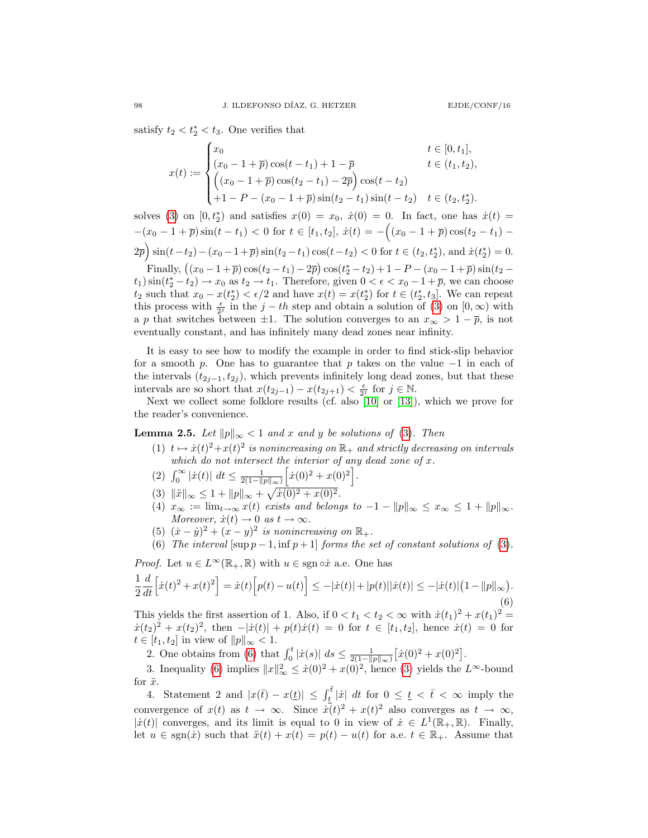satisfy  $t_2 < t_2^* < t_3$ . One verifies that

$$
x(t) := \begin{cases} x_0 & t \in [0, t_1], \\ (x_0 - 1 + \overline{p})\cos(t - t_1) + 1 - \overline{p} & t \in (t_1, t_2), \\ \left( (x_0 - 1 + \overline{p})\cos(t_2 - t_1) - 2\overline{p} \right)\cos(t - t_2) \\ +1 - P - (x_0 - 1 + \overline{p})\sin(t_2 - t_1)\sin(t - t_2) & t \in (t_2, t_2^*). \end{cases}
$$

solves [\(3\)](#page-1-0) on  $[0, t_2^*)$  and satisfies  $x(0) = x_0$ ,  $\dot{x}(0) = 0$ . In fact, one has  $\dot{x}(t) =$  $-(x_0 - 1 + \overline{p})\sin(t - t_1) < 0$  for  $t \in [t_1, t_2], \dot{x}(t) = -((x_0 - 1 + \overline{p})\cos(t_2 - t_1) -$ 

 $2\bar{p}$  sin(t-t<sub>2</sub>) – (x<sub>0</sub> – 1+ $\bar{p}$ ) sin(t<sub>2</sub> – t<sub>1</sub>) cos(t – t<sub>2</sub>) < 0 for t  $\in$  (t<sub>2</sub>, t<sub>2</sub><sup>\*</sup>), and  $\dot{x}(t_2^*)$  = 0.

Finally,  $((x_0 - 1 + \overline{p}) \cos(t_2 - t_1) - 2\overline{p}) \cos(t_2^* - t_2) + 1 - P - (x_0 - 1 + \overline{p}) \sin(t_2 (t_1)$  sin $(t_2^* - t_2) \to x_0$  as  $t_2 \to t_1$ . Therefore, given  $0 < \epsilon < x_0 - 1 + \overline{p}$ , we can choose  $t_2$  such that  $x_0 - x(t_2^*) < \epsilon/2$  and have  $x(t) = x(t_2^*)$  for  $t \in (t_2^*, t_3]$ . We can repeat this process with  $\frac{\epsilon}{2^j}$  in the  $j - th$  step and obtain a solution of [\(3\)](#page-1-0) on  $[0, \infty)$  with a p that switches between  $\pm 1$ . The solution converges to an  $x_{\infty} > 1 - \overline{p}$ , is not eventually constant, and has infinitely many dead zones near infinity.

It is easy to see how to modify the example in order to find stick-slip behavior for a smooth p. One has to guarantee that p takes on the value  $-1$  in each of the intervals  $(t_{2j-1}, t_{2j})$ , which prevents infinitely long dead zones, but that these intervals are so short that  $x(t_{2j-1}) - x(t_{2j+1}) < \frac{\epsilon}{2^j}$  for  $j \in \mathbb{N}$ .

Next we collect some folklore results (cf. also  $[10]$  or  $[13]$ ), which we prove for the reader's convenience.

<span id="page-3-0"></span>**Lemma 2.5.** Let  $||p||_{\infty} < 1$  and x and y be solutions of [\(3\)](#page-1-0). Then

- (1)  $t \mapsto \dot{x}(t)^2 + x(t)^2$  is nonincreasing on  $\mathbb{R}_+$  and strictly decreasing on intervals which do not intersect the interior of any dead zone of  $x$ .
- (2)  $\int_0^\infty |\dot{x}(t)| \ dt \leq \frac{1}{2(1-||p||_\infty)} \left[ \dot{x}(0)^2 + x(0)^2 \right].$
- (3)  $\|\ddot{x}\|_{\infty} \leq 1 + \|p\|_{\infty} + \sqrt{\dot{x}(0)^2 + x(0)^2}.$
- (4)  $x_{\infty} := \lim_{t \to \infty} x(t)$  exists and belongs to  $-1 ||p||_{\infty} \le x_{\infty} \le 1 + ||p||_{\infty}$ . Moreover,  $\dot{x}(t) \rightarrow 0$  as  $t \rightarrow \infty$ .
- (5)  $(\dot{x} \dot{y})^2 + (\dot{x} y)^2$  is nonincreasing on  $\mathbb{R}_+$ .
- <span id="page-3-1"></span>(6) The interval  $[\sup p-1, \inf p+1]$  forms the set of constant solutions of [\(3\)](#page-1-0).

*Proof.* Let  $u \in L^{\infty}(\mathbb{R}_{+}, \mathbb{R})$  with  $u \in \text{sgn} \circ \dot{x}$  a.e. One has

$$
\frac{1}{2}\frac{d}{dt}\Big[\dot{x}(t)^2 + x(t)^2\Big] = \dot{x}(t)\Big[p(t) - u(t)\Big] \le -|\dot{x}(t)| + |p(t)||\dot{x}(t)| \le -|\dot{x}(t)|\big(1 - ||p||_{\infty}\big).
$$
\n(6)

This yields the first assertion of 1. Also, if  $0 < t_1 < t_2 < \infty$  with  $\dot{x}(t_1)^2 + x(t_1)^2 =$  $\dot{x}(t_2)^2 + x(t_2)^2$ , then  $-|\dot{x}(t)| + p(t)\dot{x}(t) = 0$  for  $t \in [t_1, t_2]$ , hence  $\dot{x}(t) = 0$  for  $t \in [t_1, t_2]$  in view of  $||p||_{\infty} < 1$ .

2. One obtains from [\(6\)](#page-3-1) that  $\int_0^t |\dot{x}(s)| ds \leq \frac{1}{2(1-||p||_{\infty})} [\dot{x}(0)^2 + x(0)^2].$ 

3. Inequality [\(6\)](#page-3-1) implies  $||x||_{\infty}^2 \leq \dot{x}(0)^2 + x(0)^2$ , hence [\(3\)](#page-1-0) yields the  $L^{\infty}$ -bound for  $\ddot{x}$ .

4. Statement 2 and  $|x(\bar{t}) - x(\underline{t})| \leq \int_{\underline{t}}^{\overline{t}} |x| dt$  for  $0 \leq \underline{t} < \overline{t} < \infty$  imply the convergence of  $x(t)$  as  $t \to \infty$ . Since  $\dot{x}(t)^2 + x(t)^2$  also converges as  $t \to \infty$ , | $\dot{x}(t)$ | converges, and its limit is equal to 0 in view of  $\dot{x} \in L^1(\mathbb{R}_+, \mathbb{R})$ . Finally, let  $u \in \text{sgn}(x)$  such that  $\ddot{x}(t) + x(t) = p(t) - u(t)$  for a.e.  $t \in \mathbb{R}_+$ . Assume that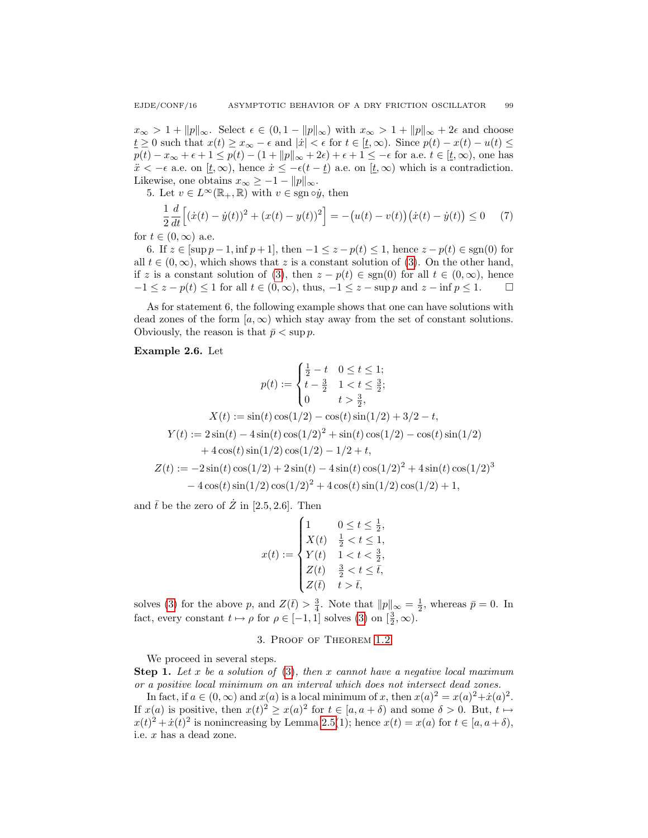$x_{\infty} > 1 + ||p||_{\infty}$ . Select  $\epsilon \in (0, 1 - ||p||_{\infty})$  with  $x_{\infty} > 1 + ||p||_{\infty} + 2\epsilon$  and choose  $t \geq 0$  such that  $x(t) \geq x_{\infty} - \epsilon$  and  $|\dot{x}| < \epsilon$  for  $t \in [t, \infty)$ . Since  $p(t) - x(t) - u(t) \leq$  $p(t) - x_{\infty} + \epsilon + 1 \leq p(t) - (1 + ||p||_{\infty} + 2\epsilon) + \epsilon + 1 \leq -\epsilon$  for a.e.  $t \in [\underline{t}, \infty)$ , one has  $\ddot{x} < -\epsilon$  a.e. on  $[t, \infty)$ , hence  $\dot{x} \leq -\epsilon(t - \underline{t})$  a.e. on  $[t, \infty)$  which is a contradiction. Likewise, one obtains  $x_{\infty} \geq -1 - ||p||_{\infty}$ .

5. Let  $v \in L^{\infty}(\mathbb{R}_{+}, \mathbb{R})$  with  $v \in \text{sgn} \circ \dot{y}$ , then

$$
\frac{1}{2}\frac{d}{dt}\left[(\dot{x}(t) - \dot{y}(t))^2 + (x(t) - y(t))^2\right] = -(u(t) - v(t))(\dot{x}(t) - \dot{y}(t)) \le 0 \tag{7}
$$

for  $t \in (0, \infty)$  a.e.

6. If  $z \in [\sup p-1, \inf p+1]$ , then  $-1 \le z - p(t) \le 1$ , hence  $z - p(t) \in sgn(0)$  for all  $t \in (0,\infty)$ , which shows that z is a constant solution of [\(3\)](#page-1-0). On the other hand, if z is a constant solution of [\(3\)](#page-1-0), then  $z - p(t) \in \text{sgn}(0)$  for all  $t \in (0, \infty)$ , hence  $-1 \leq z - p(t) \leq 1$  for all  $t \in (0, \infty)$ , thus,  $-1 \leq z - \sup p$  and  $z - \inf p \leq 1$ .

As for statement 6, the following example shows that one can have solutions with dead zones of the form  $[a, \infty)$  which stay away from the set of constant solutions. Obviously, the reason is that  $\bar{p} < \sup p$ .

#### Example 2.6. Let

$$
p(t) := \begin{cases} \frac{1}{2} - t & 0 \le t \le 1; \\ t - \frac{3}{2} & 1 < t \le \frac{3}{2}; \\ 0 & t > \frac{3}{2}, \end{cases}
$$
  

$$
X(t) := \sin(t)\cos(1/2) - \cos(t)\sin(1/2) + 3/2 - t,
$$
  

$$
Y(t) := 2\sin(t) - 4\sin(t)\cos(1/2)^2 + \sin(t)\cos(1/2) - \cos(t)\sin(1/2)
$$
  

$$
+ 4\cos(t)\sin(1/2)\cos(1/2) - 1/2 + t,
$$
  

$$
Z(t) := -2\sin(t)\cos(1/2) + 2\sin(t) - 4\sin(t)\cos(1/2)^2 + 4\sin(t)\cos(1/2)^3
$$
  

$$
- 4\cos(t)\sin(1/2)\cos(1/2)^2 + 4\cos(t)\sin(1/2)\cos(1/2) + 1,
$$

and  $\bar{t}$  be the zero of  $\dot{Z}$  in [2.5, 2.6]. Then

$$
x(t) := \begin{cases} 1 & 0 \le t \le \frac{1}{2}, \\ X(t) & \frac{1}{2} < t \le 1, \\ Y(t) & 1 < t < \frac{3}{2}, \\ Z(t) & \frac{3}{2} < t \le \overline{t}, \\ Z(\overline{t}) & t > \overline{t}, \end{cases}
$$

solves [\(3\)](#page-1-0) for the above p, and  $Z(\bar{t}) > \frac{3}{4}$ . Note that  $||p||_{\infty} = \frac{1}{2}$ , whereas  $\bar{p} = 0$ . In fact, every constant  $t \mapsto \rho$  for  $\rho \in [-1, 1]$  solves  $(3)$  on  $\left[\frac{3}{2}, \infty\right)$ .

## 3. Proof of Theorem [1.2](#page-1-1)

We proceed in several steps.

**Step 1.** Let x be a solution of  $(3)$ , then x cannot have a negative local maximum or a positive local minimum on an interval which does not intersect dead zones.

In fact, if  $a \in (0, \infty)$  and  $x(a)$  is a local minimum of x, then  $x(a)^2 = x(a)^2 + \dot{x}(a)^2$ . If  $x(a)$  is positive, then  $x(t)^2 \geq x(a)^2$  for  $t \in [a, a + \delta)$  and some  $\delta > 0$ . But,  $t \mapsto$  $x(t)^2 + \dot{x}(t)^2$  is nonincreasing by Lemma [2.5\(](#page-3-0)1); hence  $x(t) = x(a)$  for  $t \in [a, a + \delta)$ , i.e. x has a dead zone.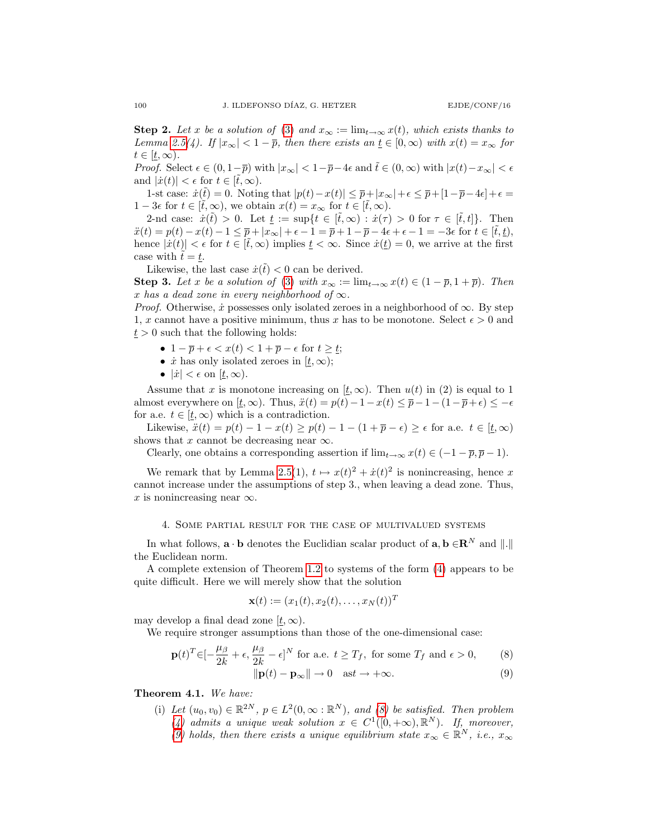**Step 2.** Let x be a solution of [\(3\)](#page-1-0) and  $x_{\infty} := \lim_{t \to \infty} x(t)$ , which exists thanks to Lemma [2.5\(](#page-3-0)4). If  $|x_\infty| < 1 - \bar{p}$ , then there exists an  $\underline{t} \in [0, \infty)$  with  $x(t) = x_\infty$  for  $t \in [t,\infty)$ .

*Proof.* Select  $\epsilon \in (0, 1-\overline{p})$  with  $|x_{\infty}| < 1-\overline{p}-4\epsilon$  and  $\tilde{t} \in (0, \infty)$  with  $|x(t)-x_{\infty}| < \epsilon$ and  $|\dot{x}(t)| < \epsilon$  for  $t \in [\tilde{t}, \infty)$ .

1-st case:  $\dot{x}(\tilde{t}) = 0$ . Noting that  $|p(t) - x(t)| \leq \overline{p} + |x_{\infty}| + \epsilon \leq \overline{p} + [1 - \overline{p} - 4\epsilon] + \epsilon =$ 1 − 3 $\epsilon$  for  $t \in [\tilde{t}, \infty)$ , we obtain  $x(t) = x_{\infty}$  for  $t \in [\tilde{t}, \infty)$ .

2-nd case:  $\dot{x}(\tilde{t}) > 0$ . Let  $\underline{t} := \sup\{t \in [\tilde{t}, \infty) : \dot{x}(\tau) > 0 \text{ for } \tau \in [\tilde{t}, t]\}.$  Then  $\ddot{x}(t) = p(t) - x(t) - 1 \leq \overline{p} + |x_{\infty}| + \epsilon - 1 = \overline{p} + 1 - \overline{p} - 4\epsilon + \epsilon - 1 = -3\epsilon$  for  $t \in [\tilde{t}, \underline{t}],$ hence  $|\dot{x}(t)| < \epsilon$  for  $t \in [\tilde{t}, \infty)$  implies  $\underline{t} < \infty$ . Since  $\dot{x}(\underline{t}) = 0$ , we arrive at the first case with  $t = t$ .

Likewise, the last case  $\dot{x}(t) < 0$  can be derived.

**Step 3.** Let x be a solution of [\(3\)](#page-1-0) with  $x_{\infty} := \lim_{t \to \infty} x(t) \in (1 - \overline{p}, 1 + \overline{p})$ . Then x has a dead zone in every neighborhood of  $\infty$ .

*Proof.* Otherwise,  $\dot{x}$  possesses only isolated zeroes in a neighborhood of  $\infty$ . By step 1, x cannot have a positive minimum, thus x has to be monotone. Select  $\epsilon > 0$  and  $t > 0$  such that the following holds:

- $1 \overline{p} + \epsilon < x(t) < 1 + \overline{p} \epsilon$  for  $t \geq t$ ;
- $\dot{x}$  has only isolated zeroes in  $[\underline{t}, \infty);$
- $|\dot{x}| < \epsilon$  on  $[t, \infty)$ .

Assume that x is monotone increasing on  $[t,\infty)$ . Then  $u(t)$  in (2) is equal to 1 almost everywhere on  $[t, \infty)$ . Thus,  $\ddot{x}(t) = p(t) - 1 - x(t) \le \overline{p} - 1 - (1 - \overline{p} + \epsilon) \le -\epsilon$ for a.e.  $t \in [t, \infty)$  which is a contradiction.

Likewise,  $\ddot{x}(t) = p(t) - 1 - x(t) \ge p(t) - 1 - (1 + \overline{p} - \epsilon) \ge \epsilon$  for a.e.  $t \in [t, \infty)$ shows that x cannot be decreasing near  $\infty$ .

Clearly, one obtains a corresponding assertion if  $\lim_{t\to\infty} x(t) \in (-1-\overline{p}, \overline{p}-1)$ .

We remark that by Lemma [2.5\(](#page-3-0)1),  $t \mapsto x(t)^2 + \dot{x}(t)^2$  is nonincreasing, hence x cannot increase under the assumptions of step 3., when leaving a dead zone. Thus, x is nonincreasing near  $\infty$ .

### 4. Some partial result for the case of multivalued systems

In what follows,  $\mathbf{a} \cdot \mathbf{b}$  denotes the Euclidian scalar product of  $\mathbf{a}, \mathbf{b} \in \mathbb{R}^N$  and  $\Vert \cdot \Vert$ the Euclidean norm.

A complete extension of Theorem [1.2](#page-1-1) to systems of the form [\(4\)](#page-1-2) appears to be quite difficult. Here we will merely show that the solution

<span id="page-5-1"></span><span id="page-5-0"></span>
$$
\mathbf{x}(t) := (x_1(t), x_2(t), \dots, x_N(t))^T
$$

may develop a final dead zone  $[t, \infty)$ .

We require stronger assumptions than those of the one-dimensional case:

$$
\mathbf{p}(t)^{T} \in [-\frac{\mu_{\beta}}{2k} + \epsilon, \frac{\mu_{\beta}}{2k} - \epsilon]^{N} \text{ for a.e. } t \ge T_{f}, \text{ for some } T_{f} \text{ and } \epsilon > 0,
$$
 (8)  

$$
\|\mathbf{p}(t) - \mathbf{p}_{\infty}\| \to 0 \quad \text{ast} \to +\infty.
$$
 (9)

Theorem 4.1. We have:

(i) Let  $(u_0, v_0) \in \mathbb{R}^{2N}$ ,  $p \in L^2(0, \infty : \mathbb{R}^N)$ , and [\(8\)](#page-5-0) be satisfied. Then problem [\(4\)](#page-1-2) admits a unique weak solution  $x \in C^1([0, +\infty), \mathbb{R}^N)$ . If, moreover, [\(9\)](#page-5-1) holds, then there exists a unique equilibrium state  $x_{\infty} \in \mathbb{R}^{N}$ , i.e.,  $x_{\infty}$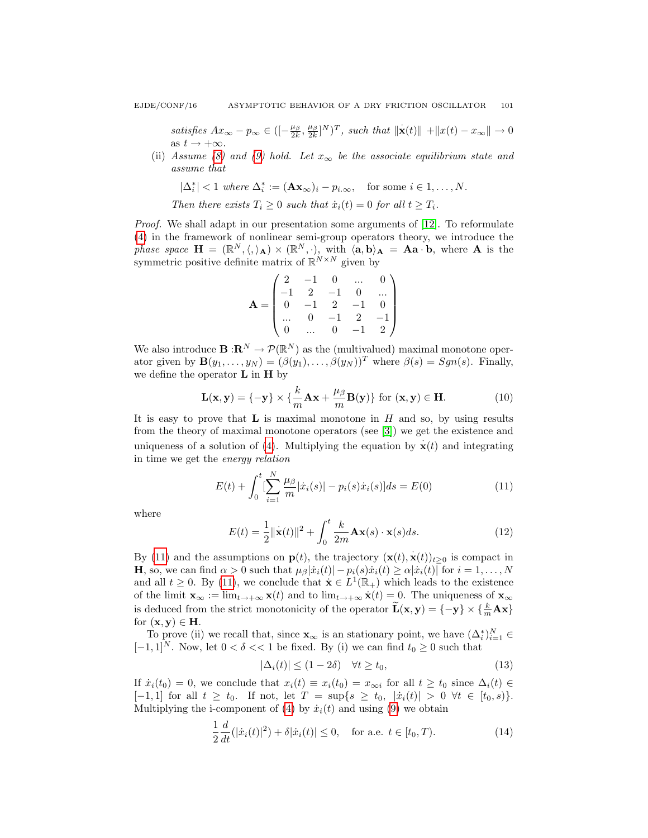satisfies  $Ax_{\infty} - p_{\infty} \in \left( \left[ -\frac{\mu_{\beta}}{2k}, \frac{\mu_{\beta}}{2k} \right]^{N} \right)^{T}$ , such that  $\|\mathbf{x}(t)\|$  +  $\|x(t) - x_{\infty}\| \to 0$ as  $t \rightarrow +\infty$ .

(ii) Assume [\(8\)](#page-5-0) and [\(9\)](#page-5-1) hold. Let  $x_{\infty}$  be the associate equilibrium state and assume that

$$
|\Delta_i^*| < 1 \text{ where } \Delta_i^* := (\mathbf{A}\mathbf{x}_{\infty})_i - p_{i,\infty}, \quad \text{for some } i \in 1,\dots,N.
$$

Then there exists  $T_i \geq 0$  such that  $\dot{x}_i(t) = 0$  for all  $t \geq T_i$ .

Proof. We shall adapt in our presentation some arguments of [\[12\]](#page-7-8). To reformulate [\(4\)](#page-1-2) in the framework of nonlinear semi-group operators theory, we introduce the phase space  $\mathbf{H} = (\mathbb{R}^N, \langle, \rangle_{\mathbf{A}}) \times (\mathbb{R}^N, \cdot),$  with  $\langle \mathbf{a}, \mathbf{b} \rangle_{\mathbf{A}} = \mathbf{A} \mathbf{a} \cdot \mathbf{b}$ , where **A** is the symmetric positive definite matrix of  $\mathbb{R}^{N \times N}$  given by

$$
\mathbf{A} = \begin{pmatrix} 2 & -1 & 0 & \dots & 0 \\ -1 & 2 & -1 & 0 & \dots \\ 0 & -1 & 2 & -1 & 0 \\ \dots & 0 & -1 & 2 & -1 \\ 0 & \dots & 0 & -1 & 2 \end{pmatrix}
$$

We also introduce  $\mathbf{B} : \mathbf{R}^N \to \mathcal{P}(\mathbb{R}^N)$  as the (multivalued) maximal monotone operator given by  $\mathbf{B}(y_1,\ldots,y_N) = (\beta(y_1),\ldots,\beta(y_N))^T$  where  $\beta(s) = Sgn(s)$ . Finally, we define the operator  $\bf{L}$  in  $\bf{H}$  by

$$
\mathbf{L}(\mathbf{x}, \mathbf{y}) = \{-\mathbf{y}\} \times \{\frac{k}{m}\mathbf{A}\mathbf{x} + \frac{\mu_{\beta}}{m}\mathbf{B}(\mathbf{y})\} \text{ for } (\mathbf{x}, \mathbf{y}) \in \mathbf{H}.
$$
 (10)

It is easy to prove that  $\bf{L}$  is maximal monotone in  $H$  and so, by using results from the theory of maximal monotone operators (see [\[3\]](#page-7-9)) we get the existence and uniqueness of a solution of [\(4\)](#page-1-2). Multiplying the equation by  $\mathbf{x}(t)$  and integrating in time we get the energy relation

<span id="page-6-0"></span>
$$
E(t) + \int_0^t \left[\sum_{i=1}^N \frac{\mu_\beta}{m} |\dot{x}_i(s)| - p_i(s)\dot{x}_i(s)\right] ds = E(0)
$$
\n(11)

where

$$
E(t) = \frac{1}{2} ||\dot{\mathbf{x}}(t)||^2 + \int_0^t \frac{k}{2m} \mathbf{A} \mathbf{x}(s) \cdot \mathbf{x}(s) ds.
$$
 (12)

By [\(11\)](#page-6-0) and the assumptions on  $\mathbf{p}(t)$ , the trajectory  $(\mathbf{x}(t), \dot{\mathbf{x}}(t))_{t \geq 0}$  is compact in **H**, so, we can find  $\alpha > 0$  such that  $\mu_{\beta}|\dot{x}_i(t)| - p_i(s)\dot{x}_i(t) \geq \alpha |\dot{x}_i(t)|$  for  $i = 1, ..., N$ and all  $t \geq 0$ . By [\(11\)](#page-6-0), we conclude that  $\dot{\mathbf{x}} \in L^1(\mathbb{R}_+)$  which leads to the existence of the limit  $\mathbf{x}_{\infty} := \lim_{t \to +\infty} \mathbf{x}(t)$  and to  $\lim_{t \to +\infty} \dot{\mathbf{x}}(t) = 0$ . The uniqueness of  $\mathbf{x}_{\infty}$ is deduced from the strict monotonicity of the operator  $\widetilde{\mathbf{L}}(\mathbf{x}, \mathbf{y}) = \{-\mathbf{y}\} \times \{\frac{k}{m} \mathbf{A} \mathbf{x}\}\$ for  $(x, y) \in H$ .

To prove (ii) we recall that, since  $\mathbf{x}_{\infty}$  is an stationary point, we have  $(\Delta_i^*)_{i=1}^N \in$ [−1,1]<sup>N</sup>. Now, let  $0 < \delta << 1$  be fixed. By (i) we can find  $t_0 \ge 0$  such that

<span id="page-6-1"></span>
$$
|\Delta_i(t)| \le (1 - 2\delta) \quad \forall t \ge t_0,
$$
\n(13)

If  $\dot{x}_i(t_0) = 0$ , we conclude that  $x_i(t) \equiv x_i(t_0) = x_{\infty i}$  for all  $t \ge t_0$  since  $\Delta_i(t) \in$  $[-1, 1]$  for all  $t \geq t_0$ . If not, let  $T = \sup\{s \geq t_0, |x_i(t)| > 0 \ \forall t \in [t_0, s)\}.$ Multiplying the i-component of [\(4\)](#page-1-2) by  $\dot{x}_i(t)$  and using [\(9\)](#page-5-1) we obtain

$$
\frac{1}{2}\frac{d}{dt}(|\dot{x}_i(t)|^2) + \delta|\dot{x}_i(t)| \le 0, \quad \text{for a.e. } t \in [t_0, T). \tag{14}
$$